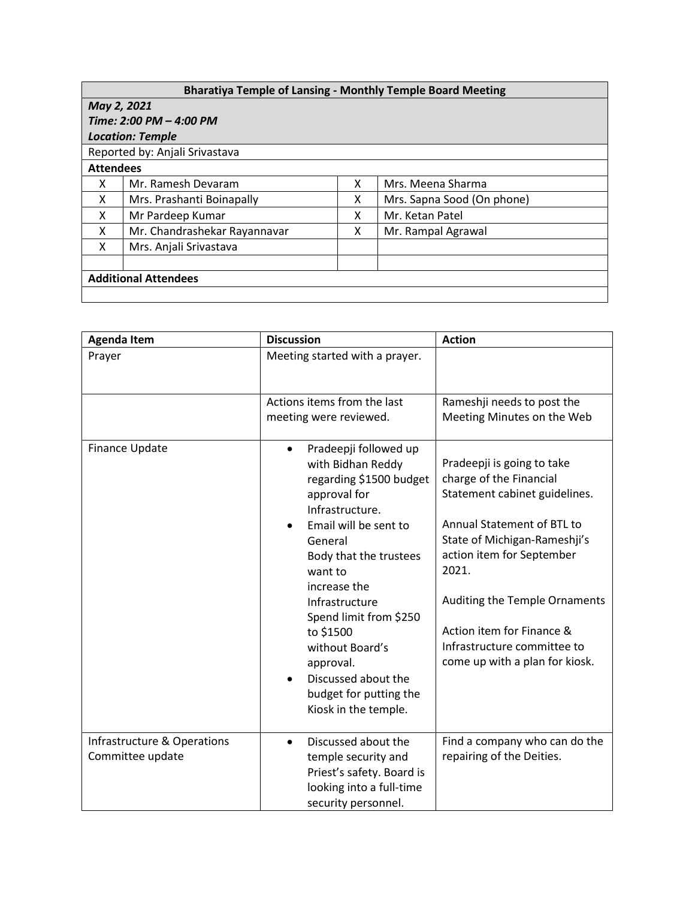## **Bharatiya Temple of Lansing - Monthly Temple Board Meeting**

| May 2, 2021             |  |
|-------------------------|--|
| Time: 2:00 PM – 4:00 PM |  |

## *Location: Temple*

|  | Reported by: Anjali Srivastava |
|--|--------------------------------|
|  |                                |

| <b>Attendees</b>            |                              |   |                            |
|-----------------------------|------------------------------|---|----------------------------|
| х                           | Mr. Ramesh Devaram           | x | Mrs. Meena Sharma          |
| X                           | Mrs. Prashanti Boinapally    | х | Mrs. Sapna Sood (On phone) |
| Χ                           | Mr Pardeep Kumar             | χ | Mr. Ketan Patel            |
| x                           | Mr. Chandrashekar Rayannavar | χ | Mr. Rampal Agrawal         |
| X                           | Mrs. Anjali Srivastava       |   |                            |
|                             |                              |   |                            |
| <b>Additional Attendees</b> |                              |   |                            |
|                             |                              |   |                            |

| <b>Agenda Item</b>                              | <b>Discussion</b>                                                                                                                                                                                                                                                                                                                                                                             | <b>Action</b>                                                                                                                                                                                                                                                                                                             |
|-------------------------------------------------|-----------------------------------------------------------------------------------------------------------------------------------------------------------------------------------------------------------------------------------------------------------------------------------------------------------------------------------------------------------------------------------------------|---------------------------------------------------------------------------------------------------------------------------------------------------------------------------------------------------------------------------------------------------------------------------------------------------------------------------|
| Prayer                                          | Meeting started with a prayer.                                                                                                                                                                                                                                                                                                                                                                |                                                                                                                                                                                                                                                                                                                           |
|                                                 | Actions items from the last<br>meeting were reviewed.                                                                                                                                                                                                                                                                                                                                         | Rameshji needs to post the<br>Meeting Minutes on the Web                                                                                                                                                                                                                                                                  |
| Finance Update                                  | Pradeepji followed up<br>$\bullet$<br>with Bidhan Reddy<br>regarding \$1500 budget<br>approval for<br>Infrastructure.<br>Email will be sent to<br>$\bullet$<br>General<br>Body that the trustees<br>want to<br>increase the<br>Infrastructure<br>Spend limit from \$250<br>to \$1500<br>without Board's<br>approval.<br>Discussed about the<br>budget for putting the<br>Kiosk in the temple. | Pradeepji is going to take<br>charge of the Financial<br>Statement cabinet guidelines.<br>Annual Statement of BTL to<br>State of Michigan-Rameshji's<br>action item for September<br>2021.<br>Auditing the Temple Ornaments<br>Action item for Finance &<br>Infrastructure committee to<br>come up with a plan for kiosk. |
| Infrastructure & Operations<br>Committee update | Discussed about the<br>$\bullet$<br>temple security and<br>Priest's safety. Board is<br>looking into a full-time<br>security personnel.                                                                                                                                                                                                                                                       | Find a company who can do the<br>repairing of the Deities.                                                                                                                                                                                                                                                                |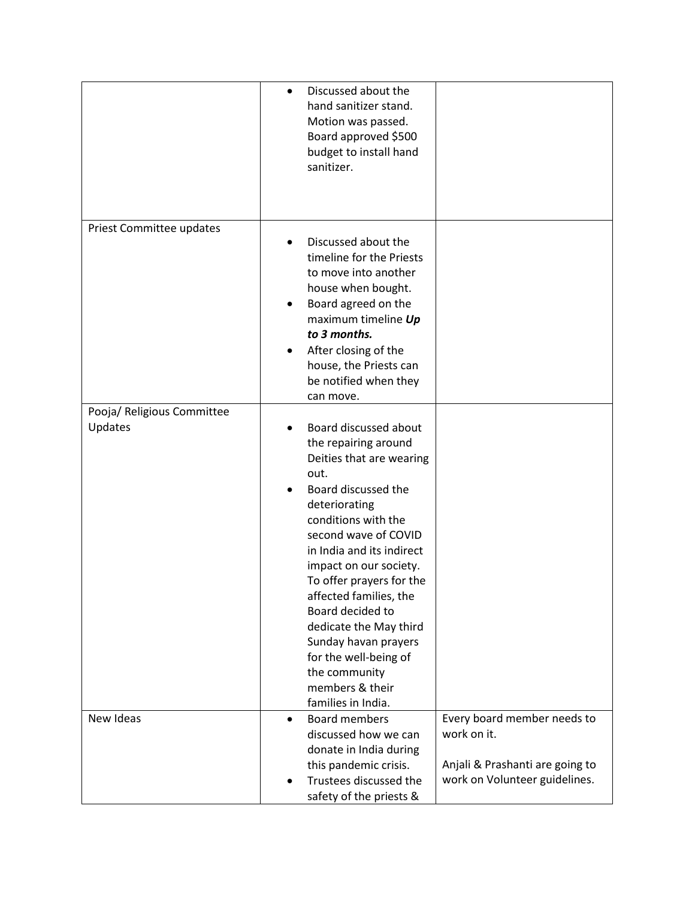|                            | $\bullet$      | Discussed about the<br>hand sanitizer stand.<br>Motion was passed.<br>Board approved \$500<br>budget to install hand<br>sanitizer.                                                                                                                                                                                                                                                                                                             |                                                                               |
|----------------------------|----------------|------------------------------------------------------------------------------------------------------------------------------------------------------------------------------------------------------------------------------------------------------------------------------------------------------------------------------------------------------------------------------------------------------------------------------------------------|-------------------------------------------------------------------------------|
|                            |                |                                                                                                                                                                                                                                                                                                                                                                                                                                                |                                                                               |
| Priest Committee updates   | ٠<br>$\bullet$ | Discussed about the<br>timeline for the Priests<br>to move into another<br>house when bought.<br>Board agreed on the<br>maximum timeline Up<br>to 3 months.<br>After closing of the<br>house, the Priests can<br>be notified when they<br>can move.                                                                                                                                                                                            |                                                                               |
| Pooja/ Religious Committee |                |                                                                                                                                                                                                                                                                                                                                                                                                                                                |                                                                               |
| Updates                    |                | Board discussed about<br>the repairing around<br>Deities that are wearing<br>out.<br>Board discussed the<br>deteriorating<br>conditions with the<br>second wave of COVID<br>in India and its indirect<br>impact on our society.<br>To offer prayers for the<br>affected families, the<br>Board decided to<br>dedicate the May third<br>Sunday havan prayers<br>for the well-being of<br>the community<br>members & their<br>families in India. |                                                                               |
| New Ideas                  | $\bullet$      | <b>Board members</b><br>discussed how we can<br>donate in India during<br>this pandemic crisis.                                                                                                                                                                                                                                                                                                                                                | Every board member needs to<br>work on it.<br>Anjali & Prashanti are going to |
|                            |                | Trustees discussed the<br>safety of the priests &                                                                                                                                                                                                                                                                                                                                                                                              | work on Volunteer guidelines.                                                 |